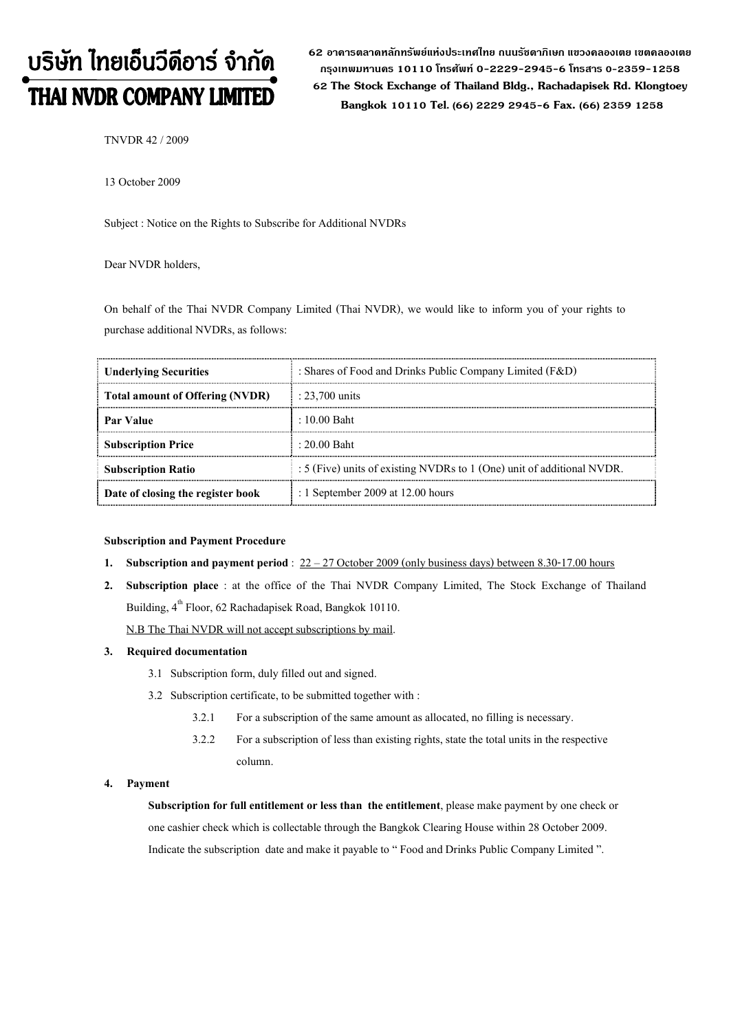# บริษัท ไทยเอ็นวีดีอาร์ จำกัด **THAI NVDR COMPANY LIMITED**

62 อาดารตลาดหลักทรัพย์แห่งประเทศไทย ถนนรัซดาภิเษก แขวงดลองเตย เขตดลองเตย กรงเทพมหานดร 10110 โทรศัพท์ 0-2229-2945-6 โทรสาร 0-2359-1258 62 The Stock Exchange of Thailand Bldg., Rachadapisek Rd. Klongtoey Bangkok 10110 Tel. (66) 2229 2945-6 Fax. (66) 2359 1258

TNVDR 42 / 2009

13 October 2009

Subject : Notice on the Rights to Subscribe for Additional NVDRs

### Dear NVDR holders,

On behalf of the Thai NVDR Company Limited (Thai NVDR), we would like to inform you of your rights to purchase additional NVDRs, as follows:

| <b>Underlying Securities</b>           | : Shares of Food and Drinks Public Company Limited (F&D)               |  |  |
|----------------------------------------|------------------------------------------------------------------------|--|--|
| <b>Total amount of Offering (NVDR)</b> | : $23,700$ units                                                       |  |  |
| <b>Par Value</b>                       | $\pm 10.00$ Baht                                                       |  |  |
| <b>Subscription Price</b>              | $: 20.00$ Baht                                                         |  |  |
| <b>Subscription Ratio</b>              | : 5 (Five) units of existing NVDRs to 1 (One) unit of additional NVDR. |  |  |
| Date of closing the register book      | : 1 September 2009 at $12.00$ hours                                    |  |  |

#### Subscription and Payment Procedure

- 1. Subscription and payment period :  $22 27$  October 2009 (only business days) between 8.30-17.00 hours
- 2. Subscription place : at the office of the Thai NVDR Company Limited, The Stock Exchange of Thailand Building, 4<sup>th</sup> Floor, 62 Rachadapisek Road, Bangkok 10110.

N.B The Thai NVDR will not accept subscriptions by mail.

#### 3. Required documentation

- 3.1 Subscription form, duly filled out and signed.
- 3.2 Subscription certificate, to be submitted together with :
	- 3.2.1 For a subscription of the same amount as allocated, no filling is necessary.
	- 3.2.2 For a subscription of less than existing rights, state the total units in the respective column.

#### 4. Payment

Subscription for full entitlement or less than the entitlement, please make payment by one check or one cashier check which is collectable through the Bangkok Clearing House within 28 October 2009. Indicate the subscription date and make it payable to "Food and Drinks Public Company Limited".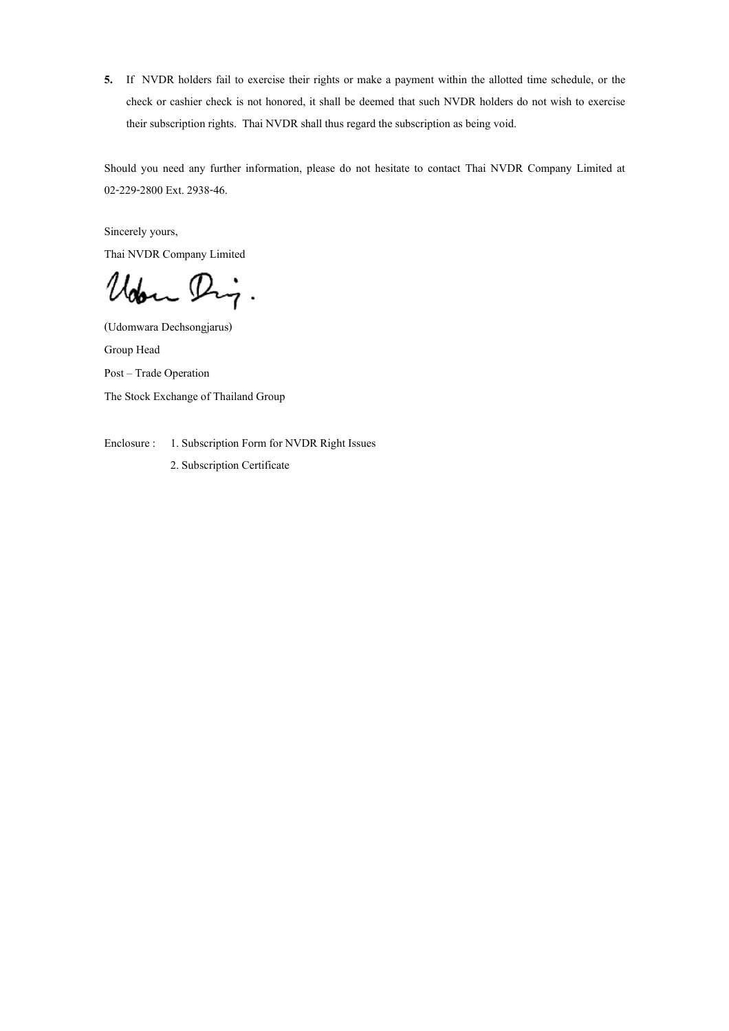5. If NVDR holders fail to exercise their rights or make a payment within the allotted time schedule, or the check or cashier check is not honored, it shall be deemed that such NVDR holders do not wish to exercise their subscription rights. Thai NVDR shall thus regard the subscription as being void.

Should you need any further information, please do not hesitate to contact Thai NVDR Company Limited at 02-229-2800 Ext. 2938-46.

Sincerely yours,

Thai NVDR Company Limited

Udon Dig.

(Udomwara Dechsongjarus)

Group Head Post - Trade Operation The Stock Exchange of Thailand Group

Enclosure : 1. Subscription Form for NVDR Right Issues

2. Subscription Certificate